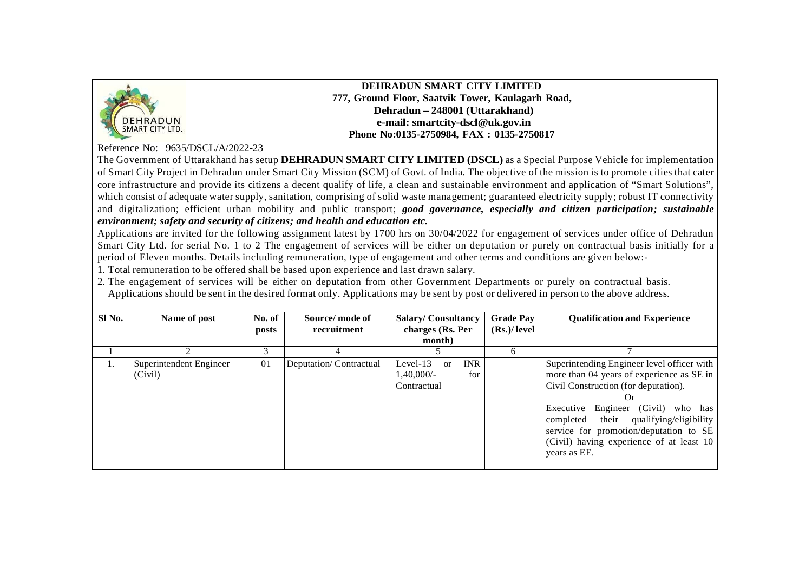

**DEHRADUN SMART CITY LIMITED 777, Ground Floor, Saatvik Tower, Kaulagarh Road, Dehradun – 248001 (Uttarakhand) e-mail: smartcity-dscl@uk.gov.in Phone No:0135-2750984, FAX : 0135-2750817**

Reference No: 9635/DSCL/A/2022-23

The Government of Uttarakhand has setup **DEHRADUN SMART CITY LIMITED (DSCL)** as a Special Purpose Vehicle for implementation of Smart City Project in Dehradun under Smart City Mission (SCM) of Govt. of India. The objective of the mission is to promote cities that cater core infrastructure and provide its citizens a decent qualify of life, a clean and sustainable environment and application of "Smart Solutions", which consist of adequate water supply, sanitation, comprising of solid waste management; guaranteed electricity supply; robust IT connectivity and digitalization; efficient urban mobility and public transport; *good governance, especially and citizen participation; sustainable environment; safety and security of citizens; and health and education etc.*

Applications are invited for the following assignment latest by 1700 hrs on 30/04/2022 for engagement of services under office of Dehradun Smart City Ltd. for serial No. 1 to 2 The engagement of services will be either on deputation or purely on contractual basis initially for a period of Eleven months. Details including remuneration, type of engagement and other terms and conditions are given below:-

1. Total remuneration to be offered shall be based upon experience and last drawn salary.

2. The engagement of services will be either on deputation from other Government Departments or purely on contractual basis. Applications should be sent in the desired format only. Applications may be sent by post or delivered in person to the above address.

| Sl No. | Name of post                       | No. of<br>posts | Source/mode of<br>recruitment | <b>Salary/Consultancy</b><br>charges (Rs. Per                            | <b>Grade Pay</b><br>(Rs.)/level | <b>Qualification and Experience</b>                                                                                                                                                                                                                                                                                            |
|--------|------------------------------------|-----------------|-------------------------------|--------------------------------------------------------------------------|---------------------------------|--------------------------------------------------------------------------------------------------------------------------------------------------------------------------------------------------------------------------------------------------------------------------------------------------------------------------------|
|        |                                    |                 |                               | month)                                                                   |                                 |                                                                                                                                                                                                                                                                                                                                |
|        |                                    | 3               |                               |                                                                          | h                               |                                                                                                                                                                                                                                                                                                                                |
|        | Superintendent Engineer<br>(Civil) | 01              | Deputation/Contractual        | <b>INR</b><br>$Level-13$<br>$\alpha$<br>1,40,000/-<br>for<br>Contractual |                                 | Superintending Engineer level officer with<br>more than 04 years of experience as SE in<br>Civil Construction (for deputation).<br>Or<br>Executive Engineer (Civil)<br>who has<br>completed their qualifying/eligibility<br>service for promotion/deputation to SE<br>(Civil) having experience of at least 10<br>years as EE. |